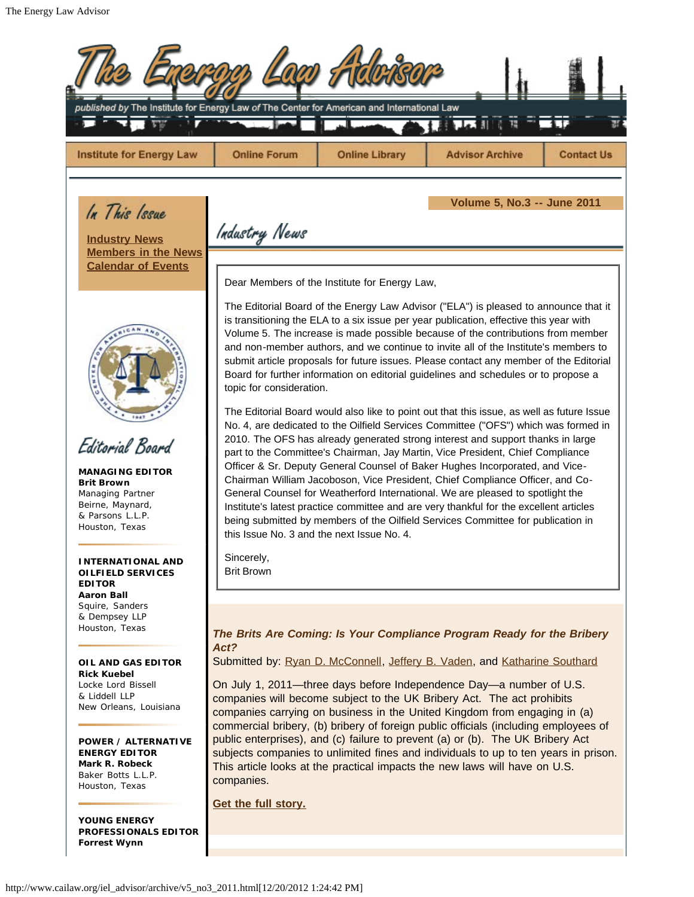| published by The Institute for Energy Law of The Center for American and International Law                                                                                                                                                  |                                                                                                                                                                                                                                                                                                                                                                                                                                                                                                                                                                                                                                                                                                                                                                                                                                                                                                                                                                                                                                                                                                                                                                                                                                                                                                                                                                                                                |                                                                                     |                        |                   |  |  |  |  |
|---------------------------------------------------------------------------------------------------------------------------------------------------------------------------------------------------------------------------------------------|----------------------------------------------------------------------------------------------------------------------------------------------------------------------------------------------------------------------------------------------------------------------------------------------------------------------------------------------------------------------------------------------------------------------------------------------------------------------------------------------------------------------------------------------------------------------------------------------------------------------------------------------------------------------------------------------------------------------------------------------------------------------------------------------------------------------------------------------------------------------------------------------------------------------------------------------------------------------------------------------------------------------------------------------------------------------------------------------------------------------------------------------------------------------------------------------------------------------------------------------------------------------------------------------------------------------------------------------------------------------------------------------------------------|-------------------------------------------------------------------------------------|------------------------|-------------------|--|--|--|--|
| <b>Institute for Energy Law</b>                                                                                                                                                                                                             | <b>Online Forum</b>                                                                                                                                                                                                                                                                                                                                                                                                                                                                                                                                                                                                                                                                                                                                                                                                                                                                                                                                                                                                                                                                                                                                                                                                                                                                                                                                                                                            | <b>Online Library</b>                                                               | <b>Advisor Archive</b> | <b>Contact Us</b> |  |  |  |  |
| In This Issue<br><b>Industry News</b><br><b>Members in the News</b><br><b>Calendar of Events</b>                                                                                                                                            | Industry News                                                                                                                                                                                                                                                                                                                                                                                                                                                                                                                                                                                                                                                                                                                                                                                                                                                                                                                                                                                                                                                                                                                                                                                                                                                                                                                                                                                                  | <b>Volume 5, No.3 -- June 2011</b><br>Dear Members of the Institute for Energy Law, |                        |                   |  |  |  |  |
| Editorial Board<br><b>MANAGING EDITOR</b><br><b>Brit Brown</b><br>Managing Partner<br>Beirne, Maynard,<br>& Parsons L.L.P.<br>Houston, Texas                                                                                                | The Editorial Board of the Energy Law Advisor ("ELA") is pleased to announce that it<br>is transitioning the ELA to a six issue per year publication, effective this year with<br>Volume 5. The increase is made possible because of the contributions from member<br>and non-member authors, and we continue to invite all of the Institute's members to<br>submit article proposals for future issues. Please contact any member of the Editorial<br>Board for further information on editorial guidelines and schedules or to propose a<br>topic for consideration.<br>The Editorial Board would also like to point out that this issue, as well as future Issue<br>No. 4, are dedicated to the Oilfield Services Committee ("OFS") which was formed in<br>2010. The OFS has already generated strong interest and support thanks in large<br>part to the Committee's Chairman, Jay Martin, Vice President, Chief Compliance<br>Officer & Sr. Deputy General Counsel of Baker Hughes Incorporated, and Vice-<br>Chairman William Jacoboson, Vice President, Chief Compliance Officer, and Co-<br>General Counsel for Weatherford International. We are pleased to spotlight the<br>Institute's latest practice committee and are very thankful for the excellent articles<br>being submitted by members of the Oilfield Services Committee for publication in<br>this Issue No. 3 and the next Issue No. 4. |                                                                                     |                        |                   |  |  |  |  |
| <b>INTERNATIONAL AND</b><br><b>OILFIELD SERVICES</b><br><b>EDITOR</b><br><b>Aaron Ball</b><br>Squire, Sanders<br>& Dempsey LLP                                                                                                              | Sincerely,<br><b>Brit Brown</b>                                                                                                                                                                                                                                                                                                                                                                                                                                                                                                                                                                                                                                                                                                                                                                                                                                                                                                                                                                                                                                                                                                                                                                                                                                                                                                                                                                                |                                                                                     |                        |                   |  |  |  |  |
| Houston, Texas<br>OIL AND GAS EDITOR<br><b>Rick Kuebel</b><br>Locke Lord Bissell<br>& Liddell LLP<br>New Orleans, Louisiana<br><b>POWER / ALTERNATIVE</b><br><b>ENERGY EDITOR</b><br>Mark R. Robeck<br>Baker Botts L.L.P.<br>Houston, Texas | The Brits Are Coming: Is Your Compliance Program Ready for the Bribery<br>Act?<br>Submitted by: Ryan D. McConnell, Jeffery B. Vaden, and Katharine Southard<br>On July 1, 2011-three days before Independence Day-a number of U.S.<br>companies will become subject to the UK Bribery Act. The act prohibits<br>companies carrying on business in the United Kingdom from engaging in (a)<br>commercial bribery, (b) bribery of foreign public officials (including employees of<br>public enterprises), and (c) failure to prevent (a) or (b). The UK Bribery Act<br>subjects companies to unlimited fines and individuals to up to ten years in prison.<br>This article looks at the practical impacts the new laws will have on U.S.<br>companies.<br>Get the full story.                                                                                                                                                                                                                                                                                                                                                                                                                                                                                                                                                                                                                                   |                                                                                     |                        |                   |  |  |  |  |
| <b>YOUNG ENERGY</b><br><b>PROFESSIONALS EDITOR</b><br><b>Forrest Wynn</b>                                                                                                                                                                   |                                                                                                                                                                                                                                                                                                                                                                                                                                                                                                                                                                                                                                                                                                                                                                                                                                                                                                                                                                                                                                                                                                                                                                                                                                                                                                                                                                                                                |                                                                                     |                        |                   |  |  |  |  |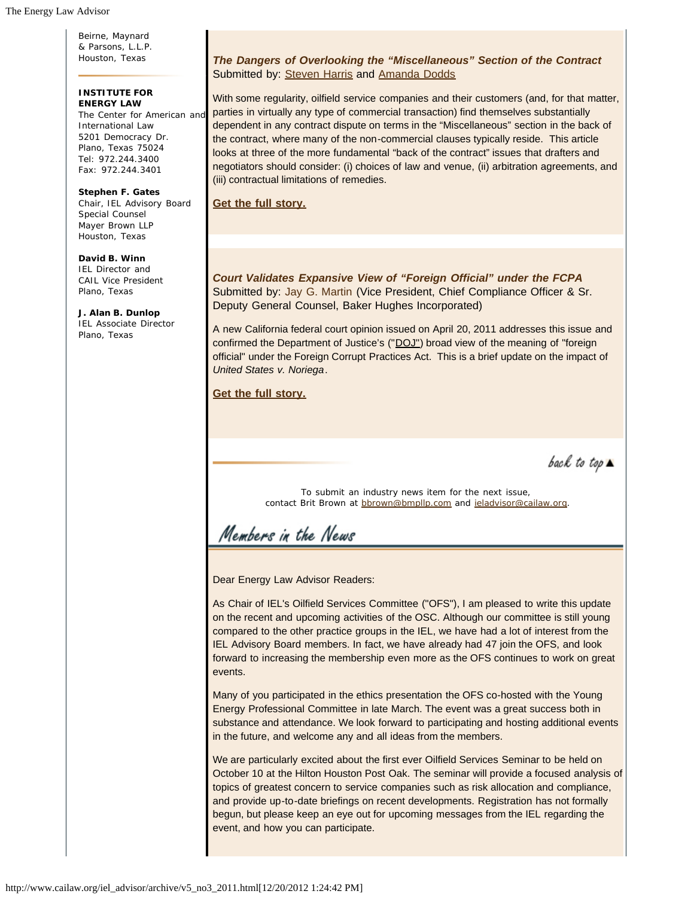Beirne, Maynard & Parsons, L.L.P. Houston, Texas

#### **INSTITUTE FOR ENERGY LAW**

The Center for American and International Law 5201 Democracy Dr. Plano, Texas 75024 Tel: 972.244.3400 Fax: 972.244.3401

**Stephen F. Gates** Chair, IEL Advisory Board Special Counsel Mayer Brown LLP Houston, Texas

**David B. Winn** IEL Director and CAIL Vice President Plano, Texas

**J. Alan B. Dunlop** IEL Associate Director Plano, Texas

#### *The Dangers of Overlooking the "Miscellaneous" Section of the Contract* Submitted by: Steven Harris and Amanda Dodds

With some regularity, oilfield service companies and their customers (and, for that matter, parties in virtually any type of commercial transaction) find themselves substantially dependent in any contract dispute on terms in the "Miscellaneous" section in the back of the contract, where many of the non-commercial clauses typically reside. This article looks at three of the more fundamental "back of the contract" issues that drafters and negotiators should consider: (i) choices of law and venue, (ii) arbitration agreements, and (iii) contractual limitations of remedies.

**Get the full story.**

*Court Validates Expansive View of "Foreign Official" under the FCPA* Submitted by: Jay G. Martin (Vice President, Chief Compliance Officer & Sr. Deputy General Counsel, Baker Hughes Incorporated)

A new California federal court opinion issued on April 20, 2011 addresses this issue and confirmed the Department of Justice's ("DOJ") broad view of the meaning of "foreign official" under the Foreign Corrupt Practices Act. This is a brief update on the impact of *United States v. Noriega*.

**Get the full story.**

back to top  $\blacktriangle$ 

To submit an industry news item for the next issue, contact Brit Brown at bbrown@bmpllp.com and ieladvisor@cailaw.org.

Members in the News

Dear Energy Law Advisor Readers:

As Chair of IEL's Oilfield Services Committee ("OFS"), I am pleased to write this update on the recent and upcoming activities of the OSC. Although our committee is still young compared to the other practice groups in the IEL, we have had a lot of interest from the IEL Advisory Board members. In fact, we have already had 47 join the OFS, and look forward to increasing the membership even more as the OFS continues to work on great events.

Many of you participated in the ethics presentation the OFS co-hosted with the Young Energy Professional Committee in late March. The event was a great success both in substance and attendance. We look forward to participating and hosting additional events in the future, and welcome any and all ideas from the members.

We are particularly excited about the first ever Oilfield Services Seminar to be held on October 10 at the Hilton Houston Post Oak. The seminar will provide a focused analysis of topics of greatest concern to service companies such as risk allocation and compliance, and provide up-to-date briefings on recent developments. Registration has not formally begun, but please keep an eye out for upcoming messages from the IEL regarding the event, and how you can participate.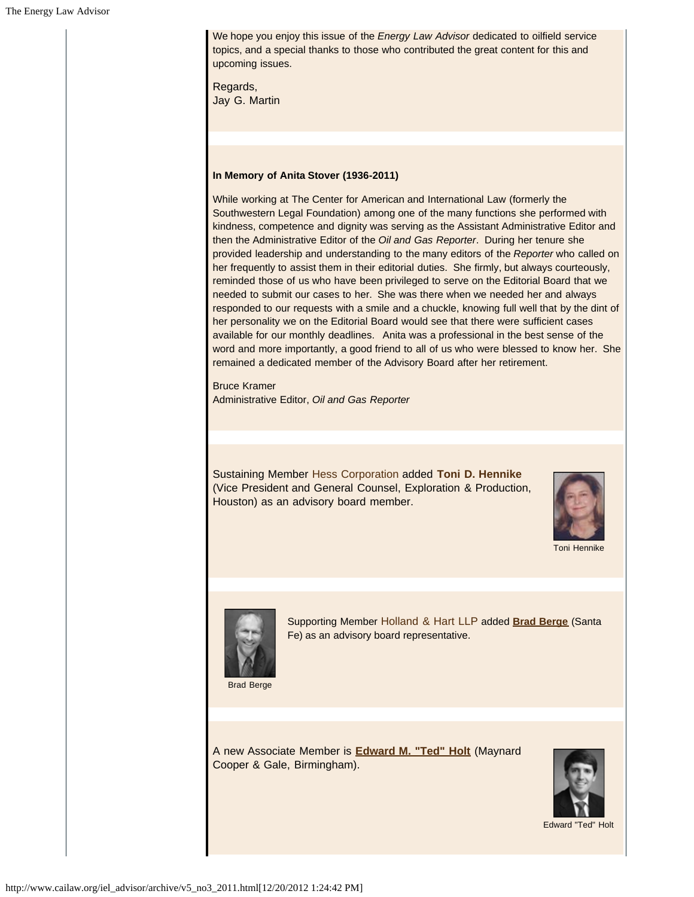We hope you enjoy this issue of the *Energy Law Advisor* dedicated to oilfield service topics, and a special thanks to those who contributed the great content for this and upcoming issues.

Regards, Jay G. Martin

#### **In Memory of Anita Stover (1936-2011)**

While working at The Center for American and International Law (formerly the Southwestern Legal Foundation) among one of the many functions she performed with kindness, competence and dignity was serving as the Assistant Administrative Editor and then the Administrative Editor of the *Oil and Gas Reporter*. During her tenure she provided leadership and understanding to the many editors of the *Reporter* who called on her frequently to assist them in their editorial duties. She firmly, but always courteously, reminded those of us who have been privileged to serve on the Editorial Board that we needed to submit our cases to her. She was there when we needed her and always responded to our requests with a smile and a chuckle, knowing full well that by the dint of her personality we on the Editorial Board would see that there were sufficient cases available for our monthly deadlines. Anita was a professional in the best sense of the word and more importantly, a good friend to all of us who were blessed to know her. She remained a dedicated member of the Advisory Board after her retirement.

Bruce Kramer Administrative Editor, *Oil and Gas Reporter*

Sustaining Member Hess Corporation added **Toni D. Hennike** (Vice President and General Counsel, Exploration & Production, Houston) as an advisory board member.



Toni Hennike



Supporting Member Holland & Hart LLP added **Brad Berge** (Santa Fe) as an advisory board representative.

Brad Berge

A new Associate Member is **Edward M. "Ted" Holt** (Maynard Cooper & Gale, Birmingham).



Edward "Ted" Holt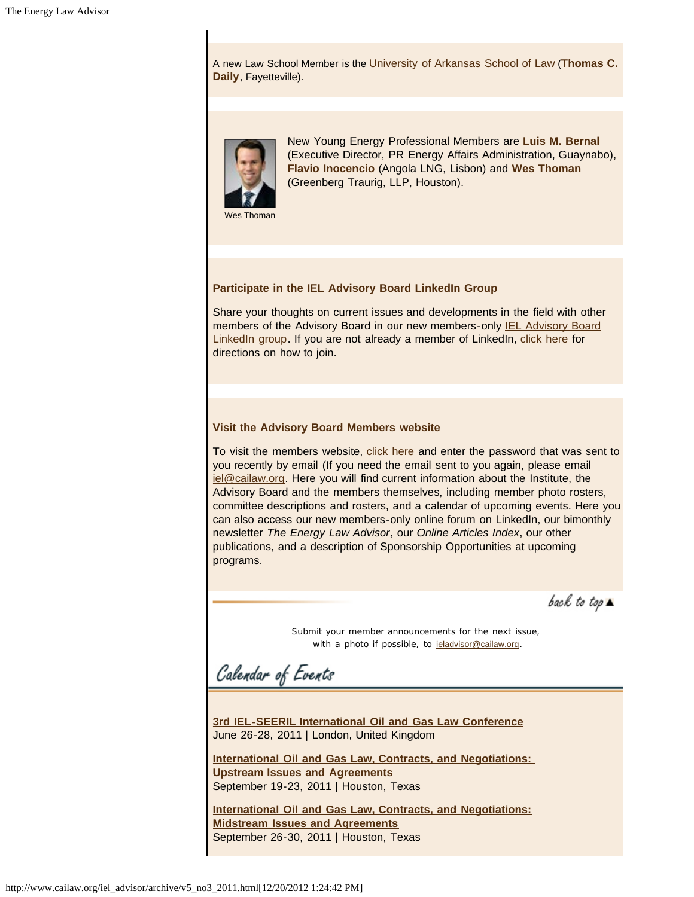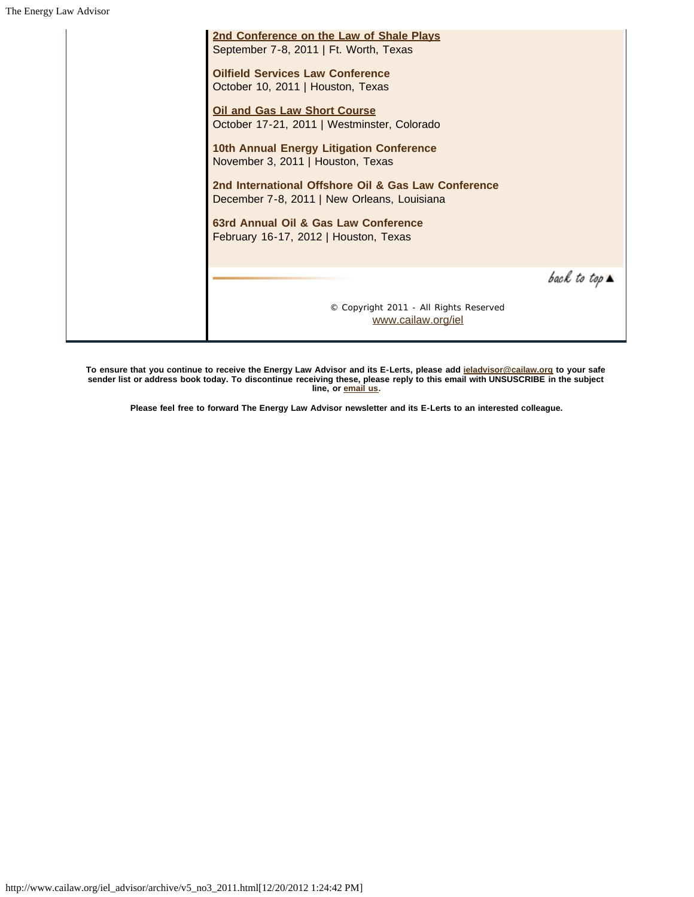| 2nd Conference on the Law of Shale Plays<br>September 7-8, 2011   Ft. Worth, Texas                 |                              |
|----------------------------------------------------------------------------------------------------|------------------------------|
| <b>Oilfield Services Law Conference</b><br>October 10, 2011   Houston, Texas                       |                              |
| <b>Oil and Gas Law Short Course</b><br>October 17-21, 2011   Westminster, Colorado                 |                              |
| 10th Annual Energy Litigation Conference<br>November 3, 2011   Houston, Texas                      |                              |
| 2nd International Offshore Oil & Gas Law Conference<br>December 7-8, 2011   New Orleans, Louisiana |                              |
| 63rd Annual Oil & Gas Law Conference<br>February 16-17, 2012   Houston, Texas                      |                              |
|                                                                                                    | back to top $\blacktriangle$ |
| © Copyright 2011 - All Rights Reserved<br>www.cailaw.org/iel                                       |                              |

**To ensure that you continue to receive the Energy Law Advisor and its E-Lerts, please add ieladvisor@cailaw.org to your safe sender list or address book today. To discontinue receiving these, please reply to this email with UNSUSCRIBE in the subject line, or email us.**

**Please feel free to forward The Energy Law Advisor newsletter and its E-Lerts to an interested colleague.**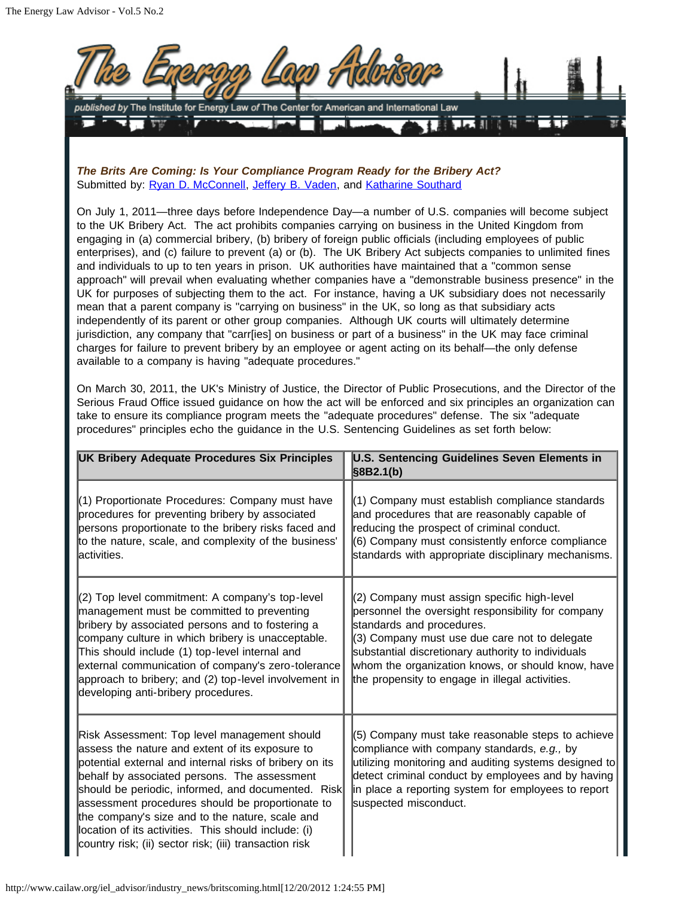

*The Brits Are Coming: Is Your Compliance Program Ready for the Bribery Act?* Submitted by: Ryan D. McConnell, Jeffery B. Vaden, and Katharine Southard

On July 1, 2011—three days before Independence Day—a number of U.S. companies will become subject to the UK Bribery Act. The act prohibits companies carrying on business in the United Kingdom from engaging in (a) commercial bribery, (b) bribery of foreign public officials (including employees of public enterprises), and (c) failure to prevent (a) or (b). The UK Bribery Act subjects companies to unlimited fines and individuals to up to ten years in prison. UK authorities have maintained that a "common sense approach" will prevail when evaluating whether companies have a "demonstrable business presence" in the UK for purposes of subjecting them to the act. For instance, having a UK subsidiary does not necessarily mean that a parent company is "carrying on business" in the UK, so long as that subsidiary acts independently of its parent or other group companies. Although UK courts will ultimately determine jurisdiction, any company that "carr[ies] on business or part of a business" in the UK may face criminal charges for failure to prevent bribery by an employee or agent acting on its behalf—the only defense available to a company is having "adequate procedures."

On March 30, 2011, the UK's Ministry of Justice, the Director of Public Prosecutions, and the Director of the Serious Fraud Office issued guidance on how the act will be enforced and six principles an organization can take to ensure its compliance program meets the "adequate procedures" defense. The six "adequate procedures" principles echo the guidance in the U.S. Sentencing Guidelines as set forth below:

| UK Bribery Adequate Procedures Six Principles                                                                                                                                                                                                                                                                                                                                                                                                                                             | <b>U.S. Sentencing Guidelines Seven Elements in</b><br>$\S 8B2.1(b)$                                                                                                                                                                                                                                                                          |
|-------------------------------------------------------------------------------------------------------------------------------------------------------------------------------------------------------------------------------------------------------------------------------------------------------------------------------------------------------------------------------------------------------------------------------------------------------------------------------------------|-----------------------------------------------------------------------------------------------------------------------------------------------------------------------------------------------------------------------------------------------------------------------------------------------------------------------------------------------|
| (1) Proportionate Procedures: Company must have<br>procedures for preventing bribery by associated<br>persons proportionate to the bribery risks faced and<br>to the nature, scale, and complexity of the business'<br>activities.                                                                                                                                                                                                                                                        | (1) Company must establish compliance standards<br>and procedures that are reasonably capable of<br>reducing the prospect of criminal conduct.<br>(6) Company must consistently enforce compliance<br>standards with appropriate disciplinary mechanisms.                                                                                     |
| (2) Top level commitment: A company's top-level<br>management must be committed to preventing<br>bribery by associated persons and to fostering a<br>company culture in which bribery is unacceptable.<br>This should include (1) top-level internal and<br>external communication of company's zero-tolerance<br>approach to bribery; and (2) top-level involvement in<br>developing anti-bribery procedures.                                                                            | (2) Company must assign specific high-level<br>personnel the oversight responsibility for company<br>standards and procedures.<br>(3) Company must use due care not to delegate<br>substantial discretionary authority to individuals<br>whom the organization knows, or should know, have<br>the propensity to engage in illegal activities. |
| Risk Assessment: Top level management should<br>assess the nature and extent of its exposure to<br>potential external and internal risks of bribery on its<br>behalf by associated persons. The assessment<br>should be periodic, informed, and documented. Risk<br>assessment procedures should be proportionate to<br>the company's size and to the nature, scale and<br>location of its activities. This should include: (i)<br>country risk; (ii) sector risk; (iii) transaction risk | (5) Company must take reasonable steps to achieve<br>compliance with company standards, e.g., by<br>utilizing monitoring and auditing systems designed to<br>detect criminal conduct by employees and by having<br>in place a reporting system for employees to report<br>suspected misconduct.                                               |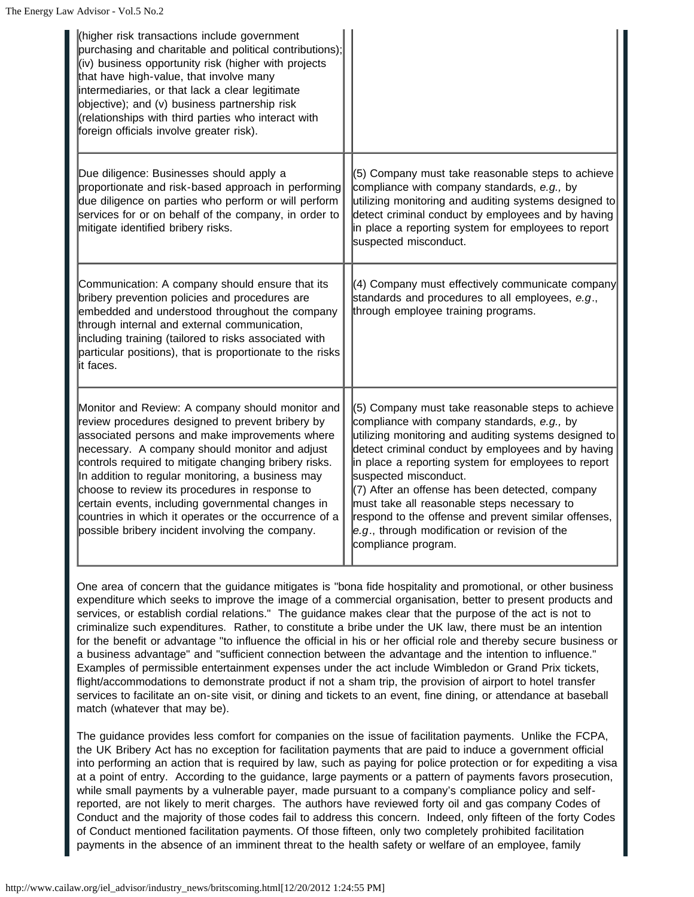| higher risk transactions include government<br>purchasing and charitable and political contributions);<br>(iv) business opportunity risk (higher with projects<br>that have high-value, that involve many<br>intermediaries, or that lack a clear legitimate<br>objective); and (v) business partnership risk<br>(relationships with third parties who interact with<br>foreign officials involve greater risk).                                                                                                                           |                                                                                                                                                                                                                                                                                                                                                                                                                                                                                                                                   |
|--------------------------------------------------------------------------------------------------------------------------------------------------------------------------------------------------------------------------------------------------------------------------------------------------------------------------------------------------------------------------------------------------------------------------------------------------------------------------------------------------------------------------------------------|-----------------------------------------------------------------------------------------------------------------------------------------------------------------------------------------------------------------------------------------------------------------------------------------------------------------------------------------------------------------------------------------------------------------------------------------------------------------------------------------------------------------------------------|
| Due diligence: Businesses should apply a<br>proportionate and risk-based approach in performing<br>due diligence on parties who perform or will perform<br>services for or on behalf of the company, in order to<br>mitigate identified bribery risks.                                                                                                                                                                                                                                                                                     | (5) Company must take reasonable steps to achieve<br>compliance with company standards, e.g., by<br>utilizing monitoring and auditing systems designed to<br>detect criminal conduct by employees and by having<br>in place a reporting system for employees to report<br>suspected misconduct.                                                                                                                                                                                                                                   |
| Communication: A company should ensure that its<br>bribery prevention policies and procedures are<br>embedded and understood throughout the company<br>through internal and external communication,<br>including training (tailored to risks associated with<br>particular positions), that is proportionate to the risks<br>it faces.                                                                                                                                                                                                     | (4) Company must effectively communicate company<br>standards and procedures to all employees, e.g.,<br>through employee training programs.                                                                                                                                                                                                                                                                                                                                                                                       |
| Monitor and Review: A company should monitor and<br>review procedures designed to prevent bribery by<br>associated persons and make improvements where<br>necessary. A company should monitor and adjust<br>controls required to mitigate changing bribery risks.<br>In addition to regular monitoring, a business may<br>choose to review its procedures in response to<br>certain events, including governmental changes in<br>countries in which it operates or the occurrence of a<br>possible bribery incident involving the company. | (5) Company must take reasonable steps to achieve<br>compliance with company standards, e.g., by<br>utilizing monitoring and auditing systems designed to<br>detect criminal conduct by employees and by having<br>in place a reporting system for employees to report<br>suspected misconduct.<br>(7) After an offense has been detected, company<br>must take all reasonable steps necessary to<br>respond to the offense and prevent similar offenses,<br>e.g., through modification or revision of the<br>compliance program. |

One area of concern that the guidance mitigates is "bona fide hospitality and promotional, or other business expenditure which seeks to improve the image of a commercial organisation, better to present products and services, or establish cordial relations." The guidance makes clear that the purpose of the act is not to criminalize such expenditures. Rather, to constitute a bribe under the UK law, there must be an intention for the benefit or advantage "to influence the official in his or her official role and thereby secure business or a business advantage" and "sufficient connection between the advantage and the intention to influence." Examples of permissible entertainment expenses under the act include Wimbledon or Grand Prix tickets, flight/accommodations to demonstrate product if not a sham trip, the provision of airport to hotel transfer services to facilitate an on-site visit, or dining and tickets to an event, fine dining, or attendance at baseball match (whatever that may be).

The guidance provides less comfort for companies on the issue of facilitation payments. Unlike the FCPA, the UK Bribery Act has no exception for facilitation payments that are paid to induce a government official into performing an action that is required by law, such as paying for police protection or for expediting a visa at a point of entry. According to the guidance, large payments or a pattern of payments favors prosecution, while small payments by a vulnerable payer, made pursuant to a company's compliance policy and selfreported, are not likely to merit charges. The authors have reviewed forty oil and gas company Codes of Conduct and the majority of those codes fail to address this concern. Indeed, only fifteen of the forty Codes of Conduct mentioned facilitation payments. Of those fifteen, only two completely prohibited facilitation payments in the absence of an imminent threat to the health safety or welfare of an employee, family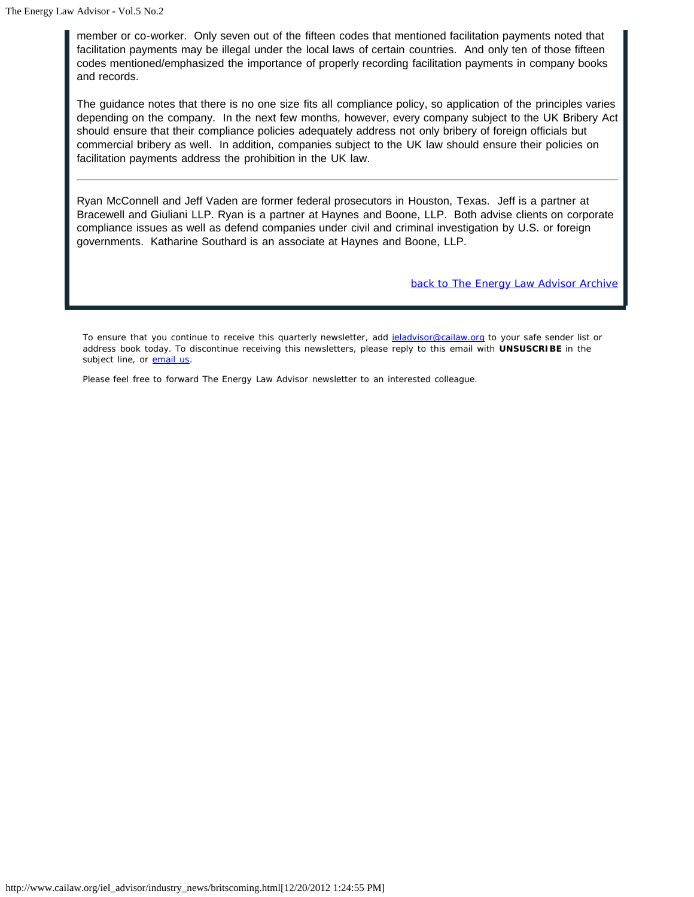member or co-worker. Only seven out of the fifteen codes that mentioned facilitation payments noted that facilitation payments may be illegal under the local laws of certain countries. And only ten of those fifteen codes mentioned/emphasized the importance of properly recording facilitation payments in company books and records.

The guidance notes that there is no one size fits all compliance policy, so application of the principles varies depending on the company. In the next few months, however, every company subject to the UK Bribery Act should ensure that their compliance policies adequately address not only bribery of foreign officials but commercial bribery as well. In addition, companies subject to the UK law should ensure their policies on facilitation payments address the prohibition in the UK law.

Ryan McConnell and Jeff Vaden are former federal prosecutors in Houston, Texas. Jeff is a partner at Bracewell and Giuliani LLP. Ryan is a partner at Haynes and Boone, LLP. Both advise clients on corporate compliance issues as well as defend companies under civil and criminal investigation by U.S. or foreign governments. Katharine Southard is an associate at Haynes and Boone, LLP.

*back to The Energy Law Advisor Archive*

To ensure that you continue to receive this quarterly newsletter, add jeladvisor@cailaw.org to your safe sender list or address book today. To discontinue receiving this newsletters, please reply to this email with **UNSUSCRIBE** in the subject line, or **email us**.

Please feel free to forward The Energy Law Advisor newsletter to an interested colleague.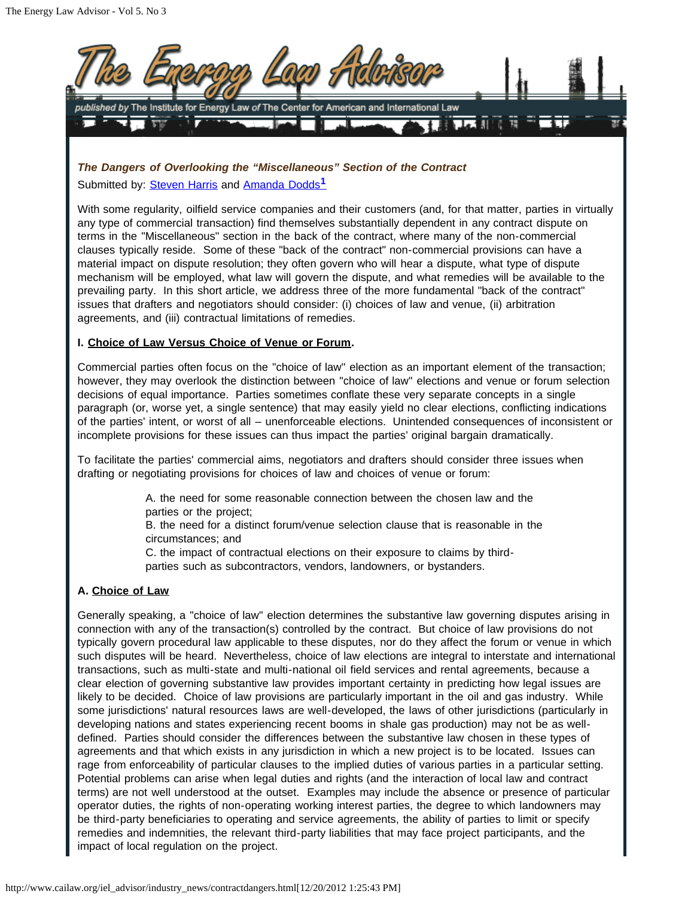

<span id="page-8-0"></span>*The Dangers of Overlooking the "Miscellaneous" Section of the Contract* Submitted by: Steven Harris and Amanda Dodds**[1](#page-13-0)**

With some regularity, oilfield service companies and their customers (and, for that matter, parties in virtually any type of commercial transaction) find themselves substantially dependent in any contract dispute on terms in the "Miscellaneous" section in the back of the contract, where many of the non-commercial clauses typically reside. Some of these "back of the contract" non-commercial provisions can have a material impact on dispute resolution; they often govern who will hear a dispute, what type of dispute mechanism will be employed, what law will govern the dispute, and what remedies will be available to the prevailing party. In this short article, we address three of the more fundamental "back of the contract" issues that drafters and negotiators should consider: (i) choices of law and venue, (ii) arbitration agreements, and (iii) contractual limitations of remedies.

# **I. Choice of Law Versus Choice of Venue or Forum.**

Commercial parties often focus on the "choice of law" election as an important element of the transaction; however, they may overlook the distinction between "choice of law" elections and venue or forum selection decisions of equal importance. Parties sometimes conflate these very separate concepts in a single paragraph (or, worse yet, a single sentence) that may easily yield no clear elections, conflicting indications of the parties' intent, or worst of all – unenforceable elections. Unintended consequences of inconsistent or incomplete provisions for these issues can thus impact the parties' original bargain dramatically.

To facilitate the parties' commercial aims, negotiators and drafters should consider three issues when drafting or negotiating provisions for choices of law and choices of venue or forum:

> A. the need for some reasonable connection between the chosen law and the parties or the project;

B. the need for a distinct forum/venue selection clause that is reasonable in the circumstances; and

C. the impact of contractual elections on their exposure to claims by thirdparties such as subcontractors, vendors, landowners, or bystanders.

# **A. Choice of Law**

Generally speaking, a "choice of law" election determines the substantive law governing disputes arising in connection with any of the transaction(s) controlled by the contract. But choice of law provisions do not typically govern procedural law applicable to these disputes, nor do they affect the forum or venue in which such disputes will be heard. Nevertheless, choice of law elections are integral to interstate and international transactions, such as multi-state and multi-national oil field services and rental agreements, because a clear election of governing substantive law provides important certainty in predicting how legal issues are likely to be decided. Choice of law provisions are particularly important in the oil and gas industry. While some jurisdictions' natural resources laws are well-developed, the laws of other jurisdictions (particularly in developing nations and states experiencing recent booms in shale gas production) may not be as welldefined. Parties should consider the differences between the substantive law chosen in these types of agreements and that which exists in any jurisdiction in which a new project is to be located. Issues can rage from enforceability of particular clauses to the implied duties of various parties in a particular setting. Potential problems can arise when legal duties and rights (and the interaction of local law and contract terms) are not well understood at the outset. Examples may include the absence or presence of particular operator duties, the rights of non-operating working interest parties, the degree to which landowners may be third-party beneficiaries to operating and service agreements, the ability of parties to limit or specify remedies and indemnities, the relevant third-party liabilities that may face project participants, and the impact of local regulation on the project.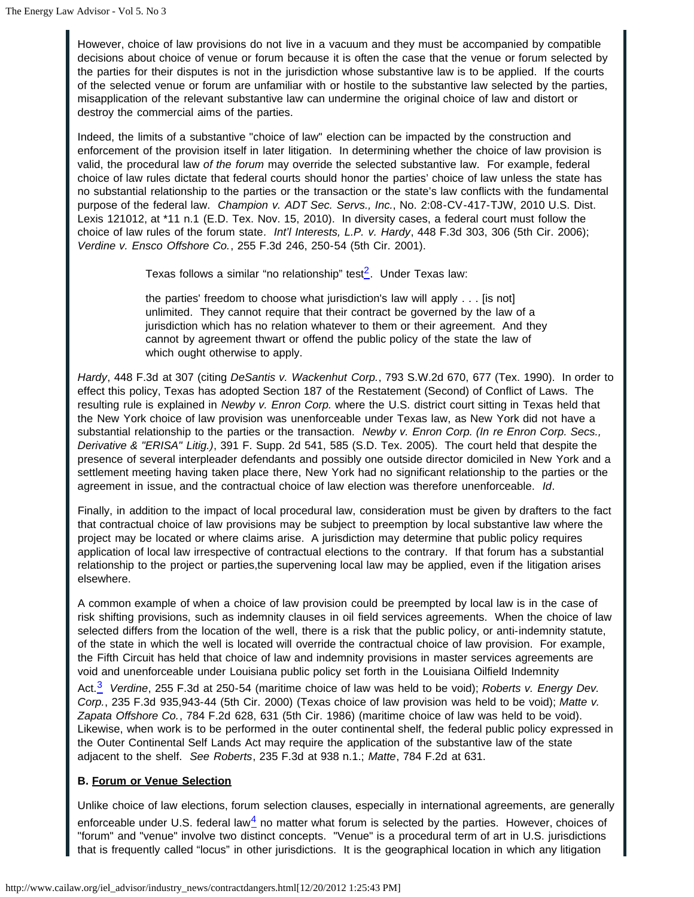However, choice of law provisions do not live in a vacuum and they must be accompanied by compatible decisions about choice of venue or forum because it is often the case that the venue or forum selected by the parties for their disputes is not in the jurisdiction whose substantive law is to be applied. If the courts of the selected venue or forum are unfamiliar with or hostile to the substantive law selected by the parties, misapplication of the relevant substantive law can undermine the original choice of law and distort or destroy the commercial aims of the parties.

Indeed, the limits of a substantive "choice of law" election can be impacted by the construction and enforcement of the provision itself in later litigation. In determining whether the choice of law provision is valid, the procedural law *of the forum* may override the selected substantive law. For example, federal choice of law rules dictate that federal courts should honor the parties' choice of law unless the state has no substantial relationship to the parties or the transaction or the state's law conflicts with the fundamental purpose of the federal law. *Champion v. ADT Sec. Servs., Inc.*, No. 2:08-CV-417-TJW, 2010 U.S. Dist. Lexis 121012, at \*11 n.1 (E.D. Tex. Nov. 15, 2010). In diversity cases, a federal court must follow the choice of law rules of the forum state*. Int'l Interests, L.P. v. Hardy*, 448 F.3d 303, 306 (5th Cir. 2006); *Verdine v. Ensco Offshore Co.*, 255 F.3d 246, 250-54 (5th Cir. 2001).

Texas follows a similar "no relationship" test $\frac{2}{2}$  $\frac{2}{2}$  $\frac{2}{2}$ . Under Texas law:

the parties' freedom to choose what jurisdiction's law will apply . . . [is not] unlimited. They cannot require that their contract be governed by the law of a jurisdiction which has no relation whatever to them or their agreement. And they cannot by agreement thwart or offend the public policy of the state the law of which ought otherwise to apply.

<span id="page-9-0"></span>*Hardy*, 448 F.3d at 307 (citing *DeSantis v. Wackenhut Corp.*, 793 S.W.2d 670, 677 (Tex. 1990). In order to effect this policy, Texas has adopted Section 187 of the Restatement (Second) of Conflict of Laws. The resulting rule is explained in *Newby v. Enron Corp.* where the U.S. district court sitting in Texas held that the New York choice of law provision was unenforceable under Texas law, as New York did not have a substantial relationship to the parties or the transaction. *Newby v. Enron Corp. (In re Enron Corp. Secs., Derivative & "ERISA" Litig.)*, 391 F. Supp. 2d 541, 585 (S.D. Tex. 2005). The court held that despite the presence of several interpleader defendants and possibly one outside director domiciled in New York and a settlement meeting having taken place there, New York had no significant relationship to the parties or the agreement in issue, and the contractual choice of law election was therefore unenforceable. *Id*.

Finally, in addition to the impact of local procedural law, consideration must be given by drafters to the fact that contractual choice of law provisions may be subject to preemption by local substantive law where the project may be located or where claims arise. A jurisdiction may determine that public policy requires application of local law irrespective of contractual elections to the contrary. If that forum has a substantial relationship to the project or parties,the supervening local law may be applied, even if the litigation arises elsewhere.

A common example of when a choice of law provision could be preempted by local law is in the case of risk shifting provisions, such as indemnity clauses in oil field services agreements. When the choice of law selected differs from the location of the well, there is a risk that the public policy, or anti-indemnity statute, of the state in which the well is located will override the contractual choice of law provision. For example, the Fifth Circuit has held that choice of law and indemnity provisions in master services agreements are void and unenforceable under Louisiana public policy set forth in the Louisiana Oilfield Indemnity

<span id="page-9-1"></span>Act.[3](#page-13-2) *Verdine*, 255 F.3d at 250-54 (maritime choice of law was held to be void); *Roberts v. Energy Dev. Corp.*, 235 F.3d 935,943-44 (5th Cir. 2000) (Texas choice of law provision was held to be void); *Matte v. Zapata Offshore Co.*, 784 F.2d 628, 631 (5th Cir. 1986) (maritime choice of law was held to be void). Likewise, when work is to be performed in the outer continental shelf, the federal public policy expressed in the Outer Continental Self Lands Act may require the application of the substantive law of the state adjacent to the shelf. *See Roberts*, 235 F.3d at 938 n.1.; *Matte*, 784 F.2d at 631.

# **B. Forum or Venue Selection**

<span id="page-9-2"></span>Unlike choice of law elections, forum selection clauses, especially in international agreements, are generally enforceable under U.S. federal law $<sup>4</sup>$  no matter what forum is selected by the parties. However, choices of</sup> "forum" and "venue" involve two distinct concepts. "Venue" is a procedural term of art in U.S. jurisdictions that is frequently called "locus" in other jurisdictions. It is the geographical location in which any litigation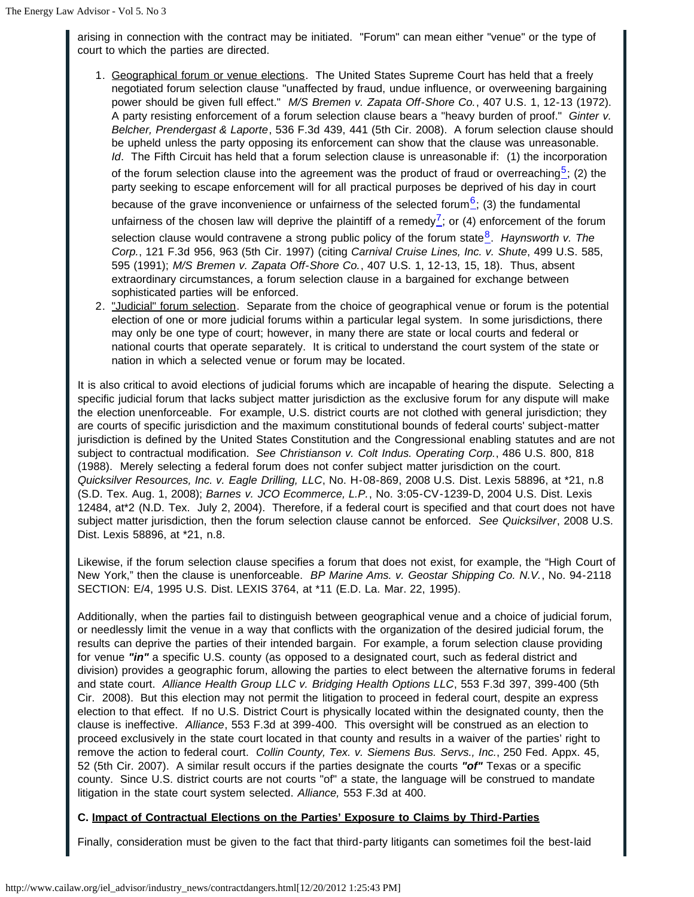arising in connection with the contract may be initiated. "Forum" can mean either "venue" or the type of court to which the parties are directed.

- <span id="page-10-0"></span>1. Geographical forum or venue elections. The United States Supreme Court has held that a freely negotiated forum selection clause "unaffected by fraud, undue influence, or overweening bargaining power should be given full effect." *M/S Bremen v. Zapata Off-Shore Co.*, 407 U.S. 1, 12-13 (1972). A party resisting enforcement of a forum selection clause bears a "heavy burden of proof." *Ginter v. Belcher, Prendergast & Laporte*, 536 F.3d 439, 441 (5th Cir. 2008). A forum selection clause should be upheld unless the party opposing its enforcement can show that the clause was unreasonable. *Id.* The Fifth Circuit has held that a forum selection clause is unreasonable if: (1) the incorporation of the forum selection clause into the agreement was the product of fraud or overreaching<sup>[5](#page-13-4)</sup>; (2) the party seeking to escape enforcement will for all practical purposes be deprived of his day in court because of the grave inconvenience or unfairness of the selected forum $\frac{6}{5}$  $\frac{6}{5}$  $\frac{6}{5}$ ; (3) the fundamental unfairness of the chosen law will deprive the plaintiff of a remedy<sup>[7](#page-13-6)</sup>; or (4) enforcement of the forum selection clause would contravene a strong public policy of the forum state<sup>[8](#page-14-0)</sup>. *Haynsworth v. The Corp.*, 121 F.3d 956, 963 (5th Cir. 1997) (citing *Carnival Cruise Lines, Inc. v. Shute*, 499 U.S. 585, 595 (1991); *M/S Bremen v. Zapata Off-Shore Co.*, 407 U.S. 1, 12-13, 15, 18). Thus, absent extraordinary circumstances, a forum selection clause in a bargained for exchange between sophisticated parties will be enforced.
- <span id="page-10-3"></span><span id="page-10-2"></span><span id="page-10-1"></span>2. "Judicial" forum selection. Separate from the choice of geographical venue or forum is the potential election of one or more judicial forums within a particular legal system. In some jurisdictions, there may only be one type of court; however, in many there are state or local courts and federal or national courts that operate separately. It is critical to understand the court system of the state or nation in which a selected venue or forum may be located.

It is also critical to avoid elections of judicial forums which are incapable of hearing the dispute. Selecting a specific judicial forum that lacks subject matter jurisdiction as the exclusive forum for any dispute will make the election unenforceable. For example, U.S. district courts are not clothed with general jurisdiction; they are courts of specific jurisdiction and the maximum constitutional bounds of federal courts' subject-matter jurisdiction is defined by the United States Constitution and the Congressional enabling statutes and are not subject to contractual modification. *See Christianson v. Colt Indus. Operating Corp.*, 486 U.S. 800, 818 (1988). Merely selecting a federal forum does not confer subject matter jurisdiction on the court. *Quicksilver Resources, Inc. v. Eagle Drilling, LLC*, No. H-08-869, 2008 U.S. Dist. Lexis 58896, at \*21, n.8 (S.D. Tex. Aug. 1, 2008); *Barnes v. JCO Ecommerce, L.P.*, No. 3:05-CV-1239-D, 2004 U.S. Dist. Lexis 12484, at\*2 (N.D. Tex. July 2, 2004). Therefore, if a federal court is specified and that court does not have subject matter jurisdiction, then the forum selection clause cannot be enforced. *See Quicksilver*, 2008 U.S. Dist. Lexis 58896, at \*21, n.8.

Likewise, if the forum selection clause specifies a forum that does not exist, for example, the "High Court of New York," then the clause is unenforceable. *BP Marine Ams. v. Geostar Shipping Co. N.V.*, No. 94-2118 SECTION: E/4, 1995 U.S. Dist. LEXIS 3764, at \*11 (E.D. La. Mar. 22, 1995).

Additionally, when the parties fail to distinguish between geographical venue and a choice of judicial forum, or needlessly limit the venue in a way that conflicts with the organization of the desired judicial forum, the results can deprive the parties of their intended bargain. For example, a forum selection clause providing for venue *"in"* a specific U.S. county (as opposed to a designated court, such as federal district and division) provides a geographic forum, allowing the parties to elect between the alternative forums in federal and state court. *Alliance Health Group LLC v. Bridging Health Options LLC*, 553 F.3d 397, 399-400 (5th Cir. 2008). But this election may not permit the litigation to proceed in federal court, despite an express election to that effect. If no U.S. District Court is physically located within the designated county, then the clause is ineffective. *Alliance*, 553 F.3d at 399-400. This oversight will be construed as an election to proceed exclusively in the state court located in that county and results in a waiver of the parties' right to remove the action to federal court. *Collin County, Tex. v. Siemens Bus. Servs., Inc.*, 250 Fed. Appx. 45, 52 (5th Cir. 2007). A similar result occurs if the parties designate the courts *"of"* Texas or a specific county. Since U.S. district courts are not courts "of" a state, the language will be construed to mandate litigation in the state court system selected. *Alliance,* 553 F.3d at 400.

# **C. Impact of Contractual Elections on the Parties' Exposure to Claims by Third-Parties**

Finally, consideration must be given to the fact that third-party litigants can sometimes foil the best-laid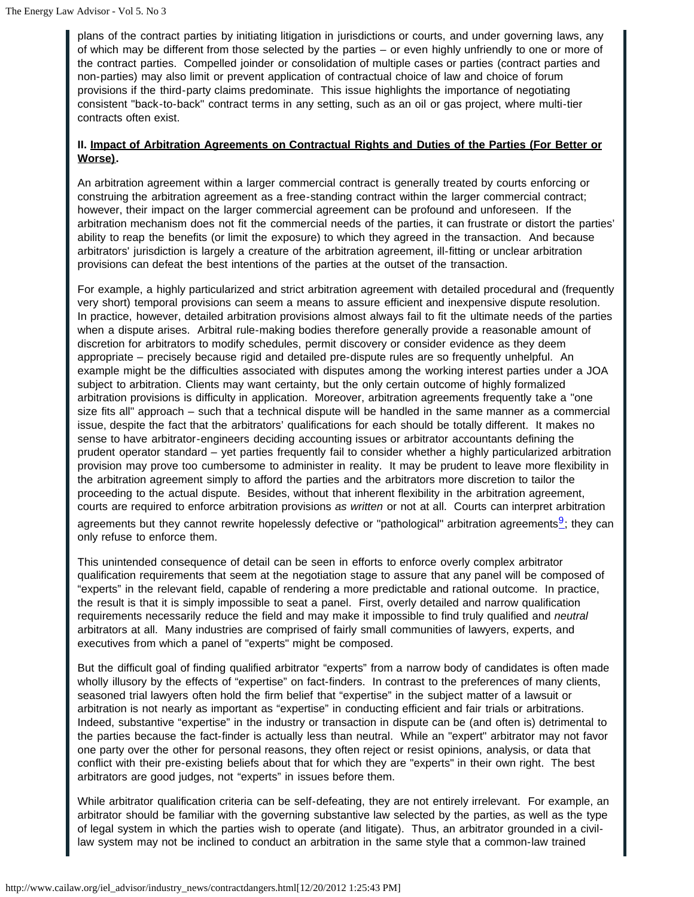plans of the contract parties by initiating litigation in jurisdictions or courts, and under governing laws, any of which may be different from those selected by the parties – or even highly unfriendly to one or more of the contract parties. Compelled joinder or consolidation of multiple cases or parties (contract parties and non-parties) may also limit or prevent application of contractual choice of law and choice of forum provisions if the third-party claims predominate. This issue highlights the importance of negotiating consistent "back-to-back" contract terms in any setting, such as an oil or gas project, where multi-tier contracts often exist.

#### **II. Impact of Arbitration Agreements on Contractual Rights and Duties of the Parties (For Better or Worse).**

An arbitration agreement within a larger commercial contract is generally treated by courts enforcing or construing the arbitration agreement as a free-standing contract within the larger commercial contract; however, their impact on the larger commercial agreement can be profound and unforeseen. If the arbitration mechanism does not fit the commercial needs of the parties, it can frustrate or distort the parties' ability to reap the benefits (or limit the exposure) to which they agreed in the transaction. And because arbitrators' jurisdiction is largely a creature of the arbitration agreement, ill-fitting or unclear arbitration provisions can defeat the best intentions of the parties at the outset of the transaction.

For example, a highly particularized and strict arbitration agreement with detailed procedural and (frequently very short) temporal provisions can seem a means to assure efficient and inexpensive dispute resolution. In practice, however, detailed arbitration provisions almost always fail to fit the ultimate needs of the parties when a dispute arises. Arbitral rule-making bodies therefore generally provide a reasonable amount of discretion for arbitrators to modify schedules, permit discovery or consider evidence as they deem appropriate – precisely because rigid and detailed pre-dispute rules are so frequently unhelpful. An example might be the difficulties associated with disputes among the working interest parties under a JOA subject to arbitration. Clients may want certainty, but the only certain outcome of highly formalized arbitration provisions is difficulty in application. Moreover, arbitration agreements frequently take a "one size fits all" approach – such that a technical dispute will be handled in the same manner as a commercial issue, despite the fact that the arbitrators' qualifications for each should be totally different. It makes no sense to have arbitrator-engineers deciding accounting issues or arbitrator accountants defining the prudent operator standard – yet parties frequently fail to consider whether a highly particularized arbitration provision may prove too cumbersome to administer in reality. It may be prudent to leave more flexibility in the arbitration agreement simply to afford the parties and the arbitrators more discretion to tailor the proceeding to the actual dispute. Besides, without that inherent flexibility in the arbitration agreement, courts are required to enforce arbitration provisions *as written* or not at all. Courts can interpret arbitration agreements but they cannot rewrite hopelessly defective or "pathological" arbitration agreements $\frac{9}{2}$  $\frac{9}{2}$  $\frac{9}{2}$ ; they can only refuse to enforce them.

<span id="page-11-0"></span>This unintended consequence of detail can be seen in efforts to enforce overly complex arbitrator qualification requirements that seem at the negotiation stage to assure that any panel will be composed of "experts" in the relevant field, capable of rendering a more predictable and rational outcome. In practice, the result is that it is simply impossible to seat a panel. First, overly detailed and narrow qualification requirements necessarily reduce the field and may make it impossible to find truly qualified and *neutral* arbitrators at all. Many industries are comprised of fairly small communities of lawyers, experts, and executives from which a panel of "experts" might be composed.

But the difficult goal of finding qualified arbitrator "experts" from a narrow body of candidates is often made wholly illusory by the effects of "expertise" on fact-finders. In contrast to the preferences of many clients, seasoned trial lawyers often hold the firm belief that "expertise" in the subject matter of a lawsuit or arbitration is not nearly as important as "expertise" in conducting efficient and fair trials or arbitrations. Indeed, substantive "expertise" in the industry or transaction in dispute can be (and often is) detrimental to the parties because the fact-finder is actually less than neutral. While an "expert" arbitrator may not favor one party over the other for personal reasons, they often reject or resist opinions, analysis, or data that conflict with their pre-existing beliefs about that for which they are "experts" in their own right. The best arbitrators are good judges, not "experts" in issues before them.

While arbitrator qualification criteria can be self-defeating, they are not entirely irrelevant. For example, an arbitrator should be familiar with the governing substantive law selected by the parties, as well as the type of legal system in which the parties wish to operate (and litigate). Thus, an arbitrator grounded in a civillaw system may not be inclined to conduct an arbitration in the same style that a common-law trained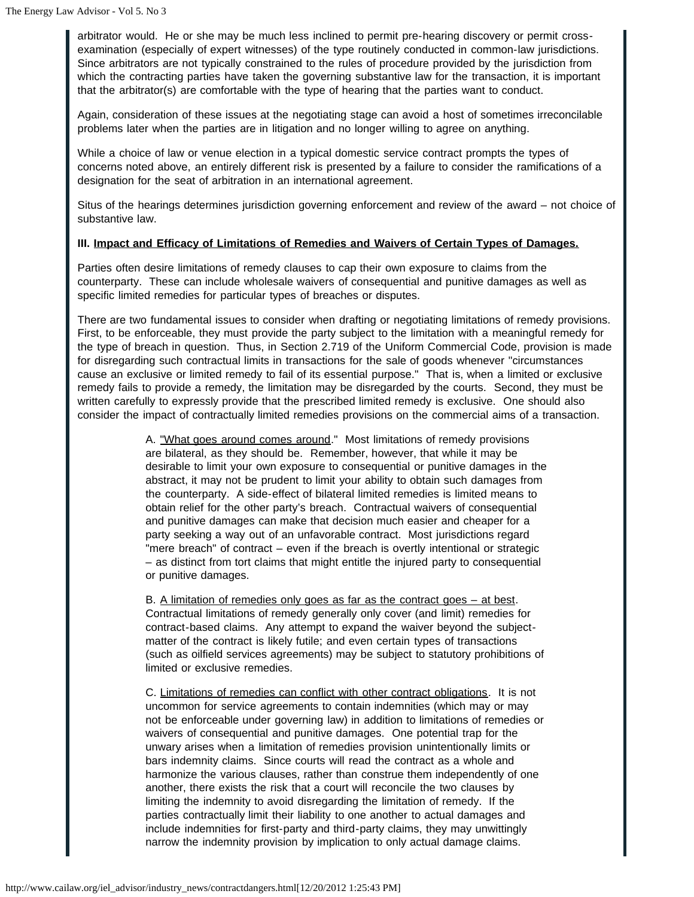arbitrator would. He or she may be much less inclined to permit pre-hearing discovery or permit crossexamination (especially of expert witnesses) of the type routinely conducted in common-law jurisdictions. Since arbitrators are not typically constrained to the rules of procedure provided by the jurisdiction from which the contracting parties have taken the governing substantive law for the transaction, it is important that the arbitrator(s) are comfortable with the type of hearing that the parties want to conduct.

Again, consideration of these issues at the negotiating stage can avoid a host of sometimes irreconcilable problems later when the parties are in litigation and no longer willing to agree on anything.

While a choice of law or venue election in a typical domestic service contract prompts the types of concerns noted above, an entirely different risk is presented by a failure to consider the ramifications of a designation for the seat of arbitration in an international agreement.

Situs of the hearings determines jurisdiction governing enforcement and review of the award – not choice of substantive law.

#### **III. Impact and Efficacy of Limitations of Remedies and Waivers of Certain Types of Damages.**

Parties often desire limitations of remedy clauses to cap their own exposure to claims from the counterparty. These can include wholesale waivers of consequential and punitive damages as well as specific limited remedies for particular types of breaches or disputes.

There are two fundamental issues to consider when drafting or negotiating limitations of remedy provisions. First, to be enforceable, they must provide the party subject to the limitation with a meaningful remedy for the type of breach in question. Thus, in Section 2.719 of the Uniform Commercial Code, provision is made for disregarding such contractual limits in transactions for the sale of goods whenever "circumstances cause an exclusive or limited remedy to fail of its essential purpose." That is, when a limited or exclusive remedy fails to provide a remedy, the limitation may be disregarded by the courts. Second, they must be written carefully to expressly provide that the prescribed limited remedy is exclusive. One should also consider the impact of contractually limited remedies provisions on the commercial aims of a transaction.

> A. "What goes around comes around." Most limitations of remedy provisions are bilateral, as they should be. Remember, however, that while it may be desirable to limit your own exposure to consequential or punitive damages in the abstract, it may not be prudent to limit your ability to obtain such damages from the counterparty. A side-effect of bilateral limited remedies is limited means to obtain relief for the other party's breach. Contractual waivers of consequential and punitive damages can make that decision much easier and cheaper for a party seeking a way out of an unfavorable contract. Most jurisdictions regard "mere breach" of contract – even if the breach is overtly intentional or strategic – as distinct from tort claims that might entitle the injured party to consequential or punitive damages.

> B. A limitation of remedies only goes as far as the contract goes – at best. Contractual limitations of remedy generally only cover (and limit) remedies for contract-based claims. Any attempt to expand the waiver beyond the subjectmatter of the contract is likely futile; and even certain types of transactions (such as oilfield services agreements) may be subject to statutory prohibitions of limited or exclusive remedies.

> C. Limitations of remedies can conflict with other contract obligations. It is not uncommon for service agreements to contain indemnities (which may or may not be enforceable under governing law) in addition to limitations of remedies or waivers of consequential and punitive damages. One potential trap for the unwary arises when a limitation of remedies provision unintentionally limits or bars indemnity claims. Since courts will read the contract as a whole and harmonize the various clauses, rather than construe them independently of one another, there exists the risk that a court will reconcile the two clauses by limiting the indemnity to avoid disregarding the limitation of remedy. If the parties contractually limit their liability to one another to actual damages and include indemnities for first-party and third-party claims, they may unwittingly narrow the indemnity provision by implication to only actual damage claims.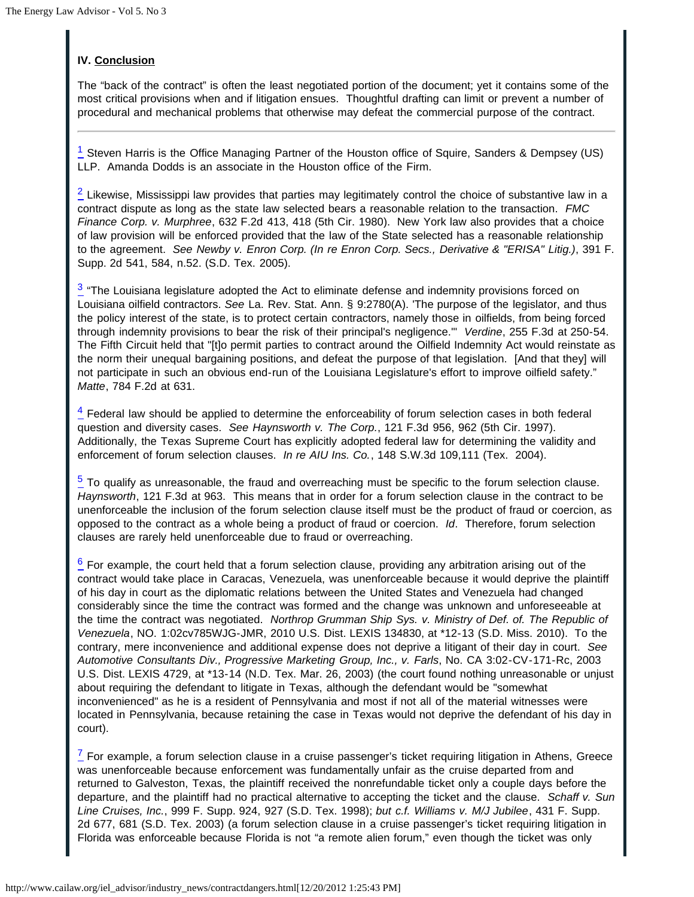# **IV. Conclusion**

The "back of the contract" is often the least negotiated portion of the document; yet it contains some of the most critical provisions when and if litigation ensues. Thoughtful drafting can limit or prevent a number of procedural and mechanical problems that otherwise may defeat the commercial purpose of the contract.

<span id="page-13-0"></span> $\frac{1}{2}$  Steven Harris is the Office Managing Partner of the Houston office of Squire, Sanders & Dempsey (US) LLP. Amanda Dodds is an associate in the Houston office of the Firm.

<span id="page-13-1"></span> $2$  Likewise, Mississippi law provides that parties may legitimately control the choice of substantive law in a contract dispute as long as the state law selected bears a reasonable relation to the transaction. *FMC Finance Corp. v. Murphree*, 632 F.2d 413, 418 (5th Cir. 1980). New York law also provides that a choice of law provision will be enforced provided that the law of the State selected has a reasonable relationship to the agreement. *See Newby v. Enron Corp. (In re Enron Corp. Secs., Derivative & "ERISA" Litig.)*, 391 F. Supp. 2d 541, 584, n.52. (S.D. Tex. 2005).

<span id="page-13-2"></span> $\frac{3}{2}$  "The Louisiana legislature adopted the Act to eliminate defense and indemnity provisions forced on Louisiana oilfield contractors. *See* La. Rev. Stat. Ann. § 9:2780(A). 'The purpose of the legislator, and thus the policy interest of the state, is to protect certain contractors, namely those in oilfields, from being forced through indemnity provisions to bear the risk of their principal's negligence.'" *Verdine*, 255 F.3d at 250-54. The Fifth Circuit held that "[t]o permit parties to contract around the Oilfield Indemnity Act would reinstate as the norm their unequal bargaining positions, and defeat the purpose of that legislation. [And that they] will not participate in such an obvious end-run of the Louisiana Legislature's effort to improve oilfield safety." *Matte*, 784 F.2d at 631.

<span id="page-13-3"></span> $\frac{4}{5}$  Federal law should be applied to determine the enforceability of forum selection cases in both federal question and diversity cases. *See Haynsworth v. The Corp.*, 121 F.3d 956, 962 (5th Cir. 1997). Additionally, the Texas Supreme Court has explicitly adopted federal law for determining the validity and enforcement of forum selection clauses. *In re AIU Ins. Co.*, 148 S.W.3d 109,111 (Tex. 2004).

<span id="page-13-4"></span> $\frac{5}{2}$  To qualify as unreasonable, the fraud and overreaching must be specific to the forum selection clause. *Haynsworth*, 121 F.3d at 963. This means that in order for a forum selection clause in the contract to be unenforceable the inclusion of the forum selection clause itself must be the product of fraud or coercion, as opposed to the contract as a whole being a product of fraud or coercion. *Id*. Therefore, forum selection clauses are rarely held unenforceable due to fraud or overreaching.

<span id="page-13-5"></span> $\frac{6}{2}$  For example, the court held that a forum selection clause, providing any arbitration arising out of the contract would take place in Caracas, Venezuela, was unenforceable because it would deprive the plaintiff of his day in court as the diplomatic relations between the United States and Venezuela had changed considerably since the time the contract was formed and the change was unknown and unforeseeable at the time the contract was negotiated. *Northrop Grumman Ship Sys. v. Ministry of Def. of. The Republic of Venezuela*, NO. 1:02cv785WJG-JMR, 2010 U.S. Dist. LEXIS 134830, at \*12-13 (S.D. Miss. 2010). To the contrary, mere inconvenience and additional expense does not deprive a litigant of their day in court. *See Automotive Consultants Div., Progressive Marketing Group, Inc., v. Farls*, No. CA 3:02-CV-171-Rc, 2003 U.S. Dist. LEXIS 4729, at \*13-14 (N.D. Tex. Mar. 26, 2003) (the court found nothing unreasonable or unjust about requiring the defendant to litigate in Texas, although the defendant would be "somewhat inconvenienced" as he is a resident of Pennsylvania and most if not all of the material witnesses were located in Pennsylvania, because retaining the case in Texas would not deprive the defendant of his day in court).

<span id="page-13-6"></span> $\frac{7}{5}$  For example, a forum selection clause in a cruise passenger's ticket requiring litigation in Athens, Greece was unenforceable because enforcement was fundamentally unfair as the cruise departed from and returned to Galveston, Texas, the plaintiff received the nonrefundable ticket only a couple days before the departure, and the plaintiff had no practical alternative to accepting the ticket and the clause. *Schaff v. Sun Line Cruises, Inc.*, 999 F. Supp. 924, 927 (S.D. Tex. 1998); *but c.f. Williams v. M/J Jubilee*, 431 F. Supp. 2d 677, 681 (S.D. Tex. 2003) (a forum selection clause in a cruise passenger's ticket requiring litigation in Florida was enforceable because Florida is not "a remote alien forum," even though the ticket was only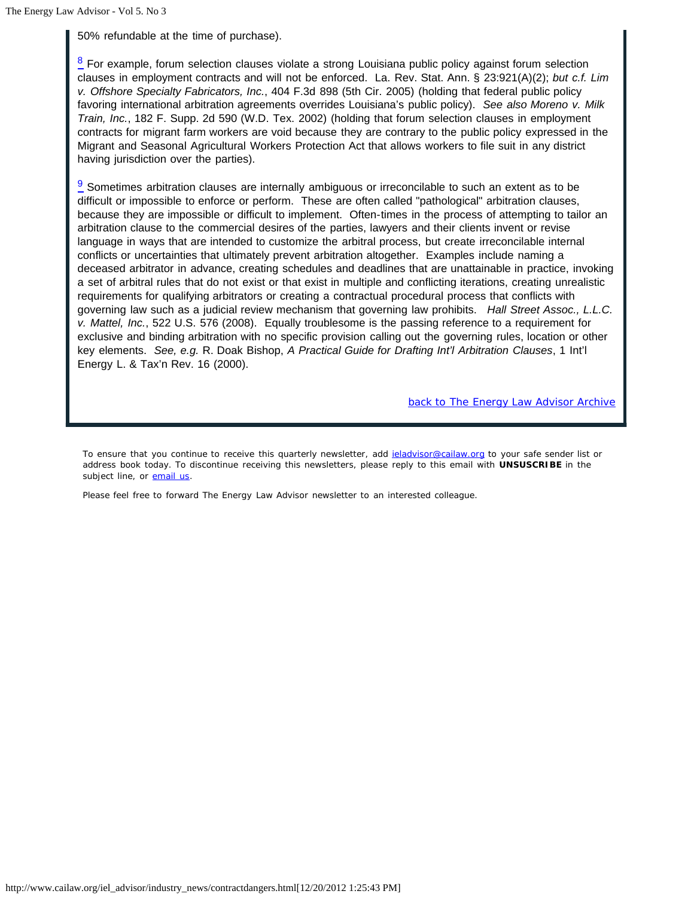50% refundable at the time of purchase).

<span id="page-14-0"></span> $8$  For example, forum selection clauses violate a strong Louisiana public policy against forum selection clauses in employment contracts and will not be enforced. La. Rev. Stat. Ann. § 23:921(A)(2); *but c.f. Lim v. Offshore Specialty Fabricators, Inc.*, 404 F.3d 898 (5th Cir. 2005) (holding that federal public policy favoring international arbitration agreements overrides Louisiana's public policy). *See also Moreno v. Milk Train, Inc.*, 182 F. Supp. 2d 590 (W.D. Tex. 2002) (holding that forum selection clauses in employment contracts for migrant farm workers are void because they are contrary to the public policy expressed in the Migrant and Seasonal Agricultural Workers Protection Act that allows workers to file suit in any district having jurisdiction over the parties).

<span id="page-14-1"></span> $\frac{9}{2}$  Sometimes arbitration clauses are internally ambiguous or irreconcilable to such an extent as to be difficult or impossible to enforce or perform. These are often called "pathological" arbitration clauses, because they are impossible or difficult to implement. Often-times in the process of attempting to tailor an arbitration clause to the commercial desires of the parties, lawyers and their clients invent or revise language in ways that are intended to customize the arbitral process, but create irreconcilable internal conflicts or uncertainties that ultimately prevent arbitration altogether. Examples include naming a deceased arbitrator in advance, creating schedules and deadlines that are unattainable in practice, invoking a set of arbitral rules that do not exist or that exist in multiple and conflicting iterations, creating unrealistic requirements for qualifying arbitrators or creating a contractual procedural process that conflicts with governing law such as a judicial review mechanism that governing law prohibits. *Hall Street Assoc., L.L.C. v. Mattel, Inc.*, 522 U.S. 576 (2008). Equally troublesome is the passing reference to a requirement for exclusive and binding arbitration with no specific provision calling out the governing rules, location or other key elements. *See, e.g.* R. Doak Bishop, *A Practical Guide for Drafting Int'l Arbitration Clauses*, 1 Int'l Energy L. & Tax'n Rev. 16 (2000).

*back to The Energy Law Advisor Archive*

To ensure that you continue to receive this quarterly newsletter, add jeladvisor@cailaw.org to your safe sender list or address book today. To discontinue receiving this newsletters, please reply to this email with **UNSUSCRIBE** in the subject line, or email us.

Please feel free to forward The Energy Law Advisor newsletter to an interested colleague.